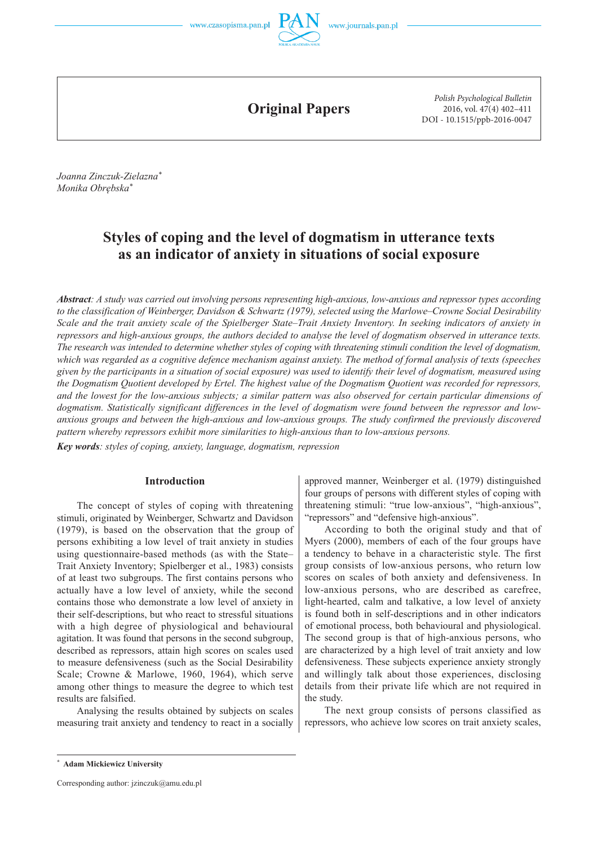

**Original Papers**

*Polish Psychological Bulletin* 2016, vol. 47(4) 402–411 DOI - 10.1515/ppb-2016-0047

*Joanna Zinczuk-Zielazna\* Monika Obrębska\**

# **Styles of coping and the level of dogmatism in utterance texts as an indicator of anxiety in situations of social exposure**

*Abstract: A study was carried out involving persons representing high-anxious, low-anxious and repressor types according to the classification of Weinberger, Davidson & Schwartz (1979), selected using the Marlowe–Crowne Social Desirability Scale and the trait anxiety scale of the Spielberger State–Trait Anxiety Inventory. In seeking indicators of anxiety in repressors and high-anxious groups, the authors decided to analyse the level of dogmatism observed in utterance texts. The research was intended to determine whether styles of coping with threatening stimuli condition the level of dogmatism, which was regarded as a cognitive defence mechanism against anxiety. The method of formal analysis of texts (speeches given by the participants in a situation of social exposure) was used to identify their level of dogmatism, measured using the Dogmatism Quotient developed by Ertel. The highest value of the Dogmatism Quotient was recorded for repressors, and the lowest for the low-anxious subjects; a similar pattern was also observed for certain particular dimensions of dogmatism. Statistically significant differences in the level of dogmatism were found between the repressor and lowanxious groups and between the high-anxious and low-anxious groups. The study confirmed the previously discovered pattern whereby repressors exhibit more similarities to high-anxious than to low-anxious persons.* 

*Key words: styles of coping, anxiety, language, dogmatism, repression*

### **Introduction**

The concept of styles of coping with threatening stimuli, originated by Weinberger, Schwartz and Davidson (1979), is based on the observation that the group of persons exhibiting a low level of trait anxiety in studies using questionnaire-based methods (as with the State– Trait Anxiety Inventory; Spielberger et al., 1983) consists of at least two subgroups. The first contains persons who actually have a low level of anxiety, while the second contains those who demonstrate a low level of anxiety in their self-descriptions, but who react to stressful situations with a high degree of physiological and behavioural agitation. It was found that persons in the second subgroup, described as repressors, attain high scores on scales used to measure defensiveness (such as the Social Desirability Scale; Crowne & Marlowe, 1960, 1964), which serve among other things to measure the degree to which test results are falsified.

Analysing the results obtained by subjects on scales measuring trait anxiety and tendency to react in a socially approved manner, Weinberger et al. (1979) distinguished four groups of persons with different styles of coping with threatening stimuli: "true low-anxious", "high-anxious", "repressors" and "defensive high-anxious".

According to both the original study and that of Myers (2000), members of each of the four groups have a tendency to behave in a characteristic style. The first group consists of low-anxious persons, who return low scores on scales of both anxiety and defensiveness. In low-anxious persons, who are described as carefree, light-hearted, calm and talkative, a low level of anxiety is found both in self-descriptions and in other indicators of emotional process, both behavioural and physiological. The second group is that of high-anxious persons, who are characterized by a high level of trait anxiety and low defensiveness. These subjects experience anxiety strongly and willingly talk about those experiences, disclosing details from their private life which are not required in the study.

The next group consists of persons classified as repressors, who achieve low scores on trait anxiety scales,

**<sup>\*</sup> Adam Mickiewicz University**

Corresponding author: jzinczuk@amu.edu.pl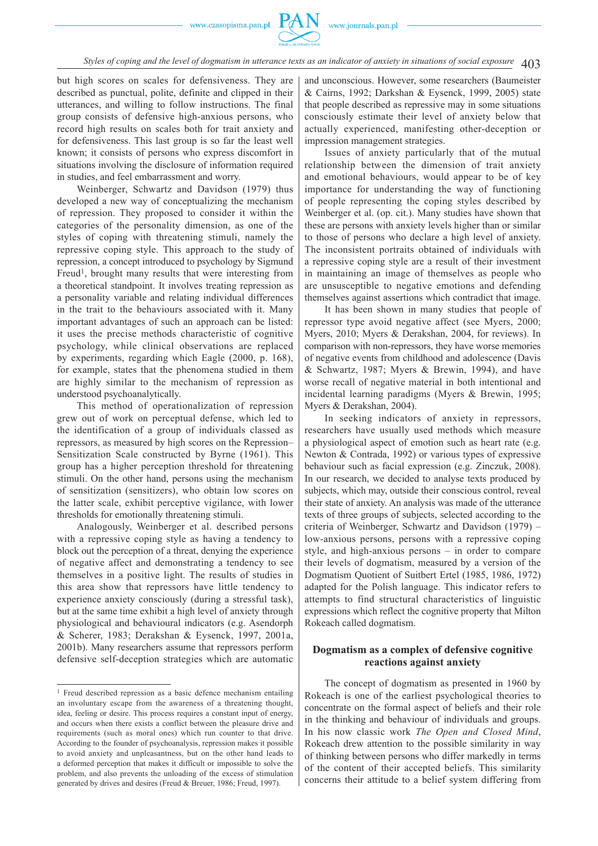but high scores on scales for defensiveness. They are described as punctual, polite, definite and clipped in their utterances, and willing to follow instructions. The final group consists of defensive high-anxious persons, who record high results on scales both for trait anxiety and for defensiveness. This last group is so far the least well known; it consists of persons who express discomfort in situations involving the disclosure of information required in studies, and feel embarrassment and worry.

Weinberger, Schwartz and Davidson (1979) thus developed a new way of conceptualizing the mechanism of repression. They proposed to consider it within the categories of the personality dimension, as one of the styles of coping with threatening stimuli, namely the repressive coping style. This approach to the study of repression, a concept introduced to psychology by Sigmund Freud<sup>1</sup>, brought many results that were interesting from a theoretical standpoint. It involves treating repression as a personality variable and relating individual differences in the trait to the behaviours associated with it. Many important advantages of such an approach can be listed: it uses the precise methods characteristic of cognitive psychology, while clinical observations are replaced by experiments, regarding which Eagle (2000, p. 168), for example, states that the phenomena studied in them are highly similar to the mechanism of repression as understood psychoanalytically.

This method of operationalization of repression grew out of work on perceptual defense, which led to the identification of a group of individuals classed as repressors, as measured by high scores on the Repression– Sensitization Scale constructed by Byrne (1961). This group has a higher perception threshold for threatening stimuli. On the other hand, persons using the mechanism of sensitization (sensitizers), who obtain low scores on the latter scale, exhibit perceptive vigilance, with lower thresholds for emotionally threatening stimuli.

Analogously, Weinberger et al. described persons with a repressive coping style as having a tendency to block out the perception of a threat, denying the experience of negative affect and demonstrating a tendency to see themselves in a positive light. The results of studies in this area show that repressors have little tendency to experience anxiety consciously (during a stressful task), but at the same time exhibit a high level of anxiety through physiological and behavioural indicators (e.g. Asendorph & Scherer, 1983; Derakshan & Eysenck, 1997, 2001a, 2001b). Many researchers assume that repressors perform defensive self-deception strategies which are automatic and unconscious. However, some researchers (Baumeister & Cairns, 1992; Darkshan & Eysenck, 1999, 2005) state that people described as repressive may in some situations consciously estimate their level of anxiety below that actually experienced, manifesting other-deception or impression management strategies.

Issues of anxiety particularly that of the mutual relationship between the dimension of trait anxiety and emotional behaviours, would appear to be of key importance for understanding the way of functioning of people representing the coping styles described by Weinberger et al. (op. cit.). Many studies have shown that these are persons with anxiety levels higher than or similar to those of persons who declare a high level of anxiety. The inconsistent portraits obtained of individuals with a repressive coping style are a result of their investment in maintaining an image of themselves as people who are unsusceptible to negative emotions and defending themselves against assertions which contradict that image.

It has been shown in many studies that people of repressor type avoid negative affect (see Myers, 2000; Myers, 2010; Myers & Derakshan, 2004, for reviews). In comparison with non-repressors, they have worse memories of negative events from childhood and adolescence (Davis & Schwartz, 1987; Myers & Brewin, 1994), and have worse recall of negative material in both intentional and incidental learning paradigms (Myers & Brewin, 1995; Myers & Derakshan, 2004).

In seeking indicators of anxiety in repressors, researchers have usually used methods which measure a physiological aspect of emotion such as heart rate (e.g. Newton & Contrada, 1992) or various types of expressive behaviour such as facial expression (e.g. Zinczuk, 2008). In our research, we decided to analyse texts produced by subjects, which may, outside their conscious control, reveal their state of anxiety. An analysis was made of the utterance texts of three groups of subjects, selected according to the criteria of Weinberger, Schwartz and Davidson (1979) – low-anxious persons, persons with a repressive coping style, and high-anxious persons – in order to compare their levels of dogmatism, measured by a version of the Dogmatism Quotient of Suitbert Ertel (1985, 1986, 1972) adapted for the Polish language. This indicator refers to attempts to find structural characteristics of linguistic expressions which reflect the cognitive property that Milton Rokeach called dogmatism.

# **Dogmatism as a complex of defensive cognitive reactions against anxiety**

The concept of dogmatism as presented in 1960 by Rokeach is one of the earliest psychological theories to concentrate on the formal aspect of beliefs and their role in the thinking and behaviour of individuals and groups. In his now classic work *The Open and Closed Mind*, Rokeach drew attention to the possible similarity in way of thinking between persons who differ markedly in terms of the content of their accepted beliefs. This similarity concerns their attitude to a belief system differing from

<sup>&</sup>lt;sup>1</sup> Freud described repression as a basic defence mechanism entailing an involuntary escape from the awareness of a threatening thought, idea, feeling or desire. This process requires a constant input of energy, and occurs when there exists a conflict between the pleasure drive and requirements (such as moral ones) which run counter to that drive. According to the founder of psychoanalysis, repression makes it possible to avoid anxiety and unpleasantness, but on the other hand leads to a deformed perception that makes it difficult or impossible to solve the problem, and also prevents the unloading of the excess of stimulation generated by drives and desires (Freud & Breuer, 1986; Freud, 1997).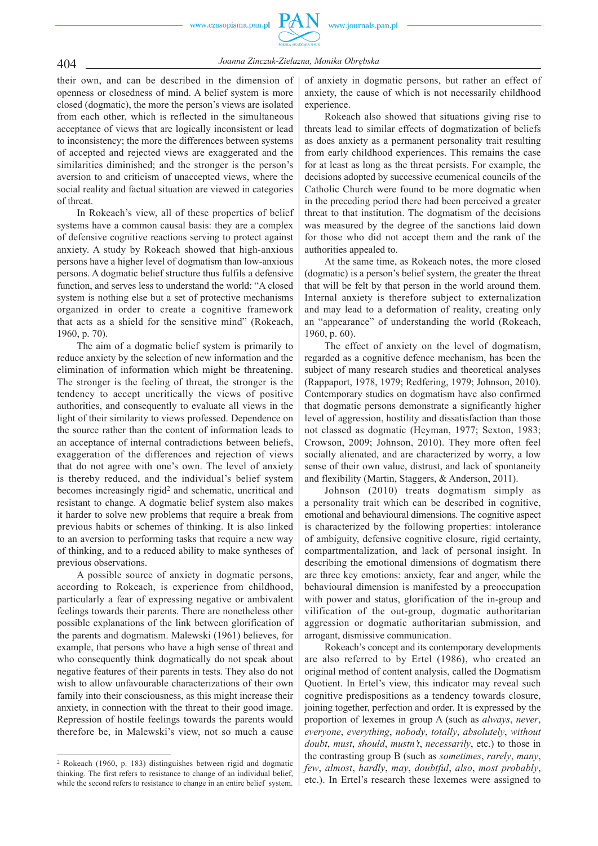

*Joanna Zinczuk-Zielazna, Monika Obrębska* 404

their own, and can be described in the dimension of openness or closedness of mind. A belief system is more closed (dogmatic), the more the person's views are isolated from each other, which is reflected in the simultaneous acceptance of views that are logically inconsistent or lead to inconsistency; the more the differences between systems of accepted and rejected views are exaggerated and the similarities diminished; and the stronger is the person's aversion to and criticism of unaccepted views, where the social reality and factual situation are viewed in categories of threat.

In Rokeach's view, all of these properties of belief systems have a common causal basis: they are a complex of defensive cognitive reactions serving to protect against anxiety. A study by Rokeach showed that high-anxious persons have a higher level of dogmatism than low-anxious persons. A dogmatic belief structure thus fulfils a defensive function, and serves less to understand the world: "A closed system is nothing else but a set of protective mechanisms organized in order to create a cognitive framework that acts as a shield for the sensitive mind" (Rokeach, 1960, p. 70).

The aim of a dogmatic belief system is primarily to reduce anxiety by the selection of new information and the elimination of information which might be threatening. The stronger is the feeling of threat, the stronger is the tendency to accept uncritically the views of positive authorities, and consequently to evaluate all views in the light of their similarity to views professed. Dependence on the source rather than the content of information leads to an acceptance of internal contradictions between beliefs, exaggeration of the differences and rejection of views that do not agree with one's own. The level of anxiety is thereby reduced, and the individual's belief system becomes increasingly rigid<sup>2</sup> and schematic, uncritical and resistant to change. A dogmatic belief system also makes it harder to solve new problems that require a break from previous habits or schemes of thinking. It is also linked to an aversion to performing tasks that require a new way of thinking, and to a reduced ability to make syntheses of previous observations.

A possible source of anxiety in dogmatic persons, according to Rokeach, is experience from childhood, particularly a fear of expressing negative or ambivalent feelings towards their parents. There are nonetheless other possible explanations of the link between glorification of the parents and dogmatism. Malewski (1961) believes, for example, that persons who have a high sense of threat and who consequently think dogmatically do not speak about negative features of their parents in tests. They also do not wish to allow unfavourable characterizations of their own family into their consciousness, as this might increase their anxiety, in connection with the threat to their good image. Repression of hostile feelings towards the parents would therefore be, in Malewski's view, not so much a cause

of anxiety in dogmatic persons, but rather an effect of anxiety, the cause of which is not necessarily childhood experience.

Rokeach also showed that situations giving rise to threats lead to similar effects of dogmatization of beliefs as does anxiety as a permanent personality trait resulting from early childhood experiences. This remains the case for at least as long as the threat persists. For example, the decisions adopted by successive ecumenical councils of the Catholic Church were found to be more dogmatic when in the preceding period there had been perceived a greater threat to that institution. The dogmatism of the decisions was measured by the degree of the sanctions laid down for those who did not accept them and the rank of the authorities appealed to.

At the same time, as Rokeach notes, the more closed (dogmatic) is a person's belief system, the greater the threat that will be felt by that person in the world around them. Internal anxiety is therefore subject to externalization and may lead to a deformation of reality, creating only an "appearance" of understanding the world (Rokeach, 1960, p. 60).

The effect of anxiety on the level of dogmatism, regarded as a cognitive defence mechanism, has been the subject of many research studies and theoretical analyses (Rappaport, 1978, 1979; Redfering, 1979; Johnson, 2010). Contemporary studies on dogmatism have also confirmed that dogmatic persons demonstrate a significantly higher level of aggression, hostility and dissatisfaction than those not classed as dogmatic (Heyman, 1977; Sexton, 1983; Crowson, 2009; Johnson, 2010). They more often feel socially alienated, and are characterized by worry, a low sense of their own value, distrust, and lack of spontaneity and flexibility (Martin, Staggers, & Anderson, 2011).

Johnson (2010) treats dogmatism simply as a personality trait which can be described in cognitive, emotional and behavioural dimensions. The cognitive aspect is characterized by the following properties: intolerance of ambiguity, defensive cognitive closure, rigid certainty, compartmentalization, and lack of personal insight. In describing the emotional dimensions of dogmatism there are three key emotions: anxiety, fear and anger, while the behavioural dimension is manifested by a preoccupation with power and status, glorification of the in-group and vilification of the out-group, dogmatic authoritarian aggression or dogmatic authoritarian submission, and arrogant, dismissive communication.

Rokeach's concept and its contemporary developments are also referred to by Ertel (1986), who created an original method of content analysis, called the Dogmatism Quotient. In Ertel's view, this indicator may reveal such cognitive predispositions as a tendency towards closure, joining together, perfection and order. It is expressed by the proportion of lexemes in group A (such as *always*, *never*, *everyone*, *everything*, *nobody*, *totally*, *absolutely*, *without doubt*, *must*, *should*, *mustn't*, *necessarily*, etc.) to those in the contrasting group B (such as *sometimes*, *rarely*, *many*, *few*, *almost*, *hardly*, *may*, *doubtful*, *also*, *most probably*, etc.). In Ertel's research these lexemes were assigned to

<sup>2</sup> Rokeach (1960, p. 183) distinguishes between rigid and dogmatic thinking. The first refers to resistance to change of an individual belief, while the second refers to resistance to change in an entire belief system.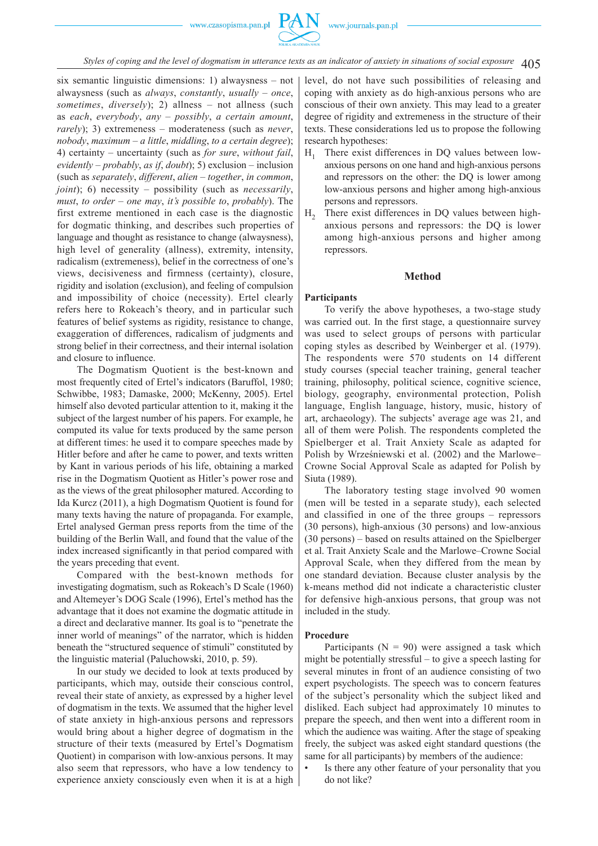

405 *Styles of coping and the level of dogmatism in utterance texts as an indicator of anxiety in situations of social exposure*

six semantic linguistic dimensions: 1) alwaysness – not alwaysness (such as *always*, *constantly*, *usually* – *once*, *sometimes*, *diversely*); 2) allness – not allness (such as *each*, *everybody*, *any* – *possibly*, *a certain amount*, *rarely*); 3) extremeness – moderateness (such as *never*, *nobody*, *maximum – a little*, *middling*, *to a certain degree*); 4) certainty – uncertainty (such as *for sure*, *without fail*, *evidently – probably*, *as if*, *doubt*); 5) exclusion – inclusion (such as *separately*, *different*, *alien – together*, *in common*, *joint*); 6) necessity – possibility (such as *necessarily*, *must*, *to order – one may*, *it's possible to*, *probably*). The first extreme mentioned in each case is the diagnostic for dogmatic thinking, and describes such properties of language and thought as resistance to change (alwaysness), high level of generality (allness), extremity, intensity, radicalism (extremeness), belief in the correctness of one's views, decisiveness and firmness (certainty), closure, rigidity and isolation (exclusion), and feeling of compulsion and impossibility of choice (necessity). Ertel clearly refers here to Rokeach's theory, and in particular such features of belief systems as rigidity, resistance to change, exaggeration of differences, radicalism of judgments and strong belief in their correctness, and their internal isolation and closure to influence.

The Dogmatism Quotient is the best-known and most frequently cited of Ertel's indicators (Baruffol, 1980; Schwibbe, 1983; Damaske, 2000; McKenny, 2005). Ertel himself also devoted particular attention to it, making it the subject of the largest number of his papers. For example, he computed its value for texts produced by the same person at different times: he used it to compare speeches made by Hitler before and after he came to power, and texts written by Kant in various periods of his life, obtaining a marked rise in the Dogmatism Quotient as Hitler's power rose and as the views of the great philosopher matured. According to Ida Kurcz (2011), a high Dogmatism Quotient is found for many texts having the nature of propaganda. For example, Ertel analysed German press reports from the time of the building of the Berlin Wall, and found that the value of the index increased significantly in that period compared with the years preceding that event.

Compared with the best-known methods for investigating dogmatism, such as Rokeach's D Scale (1960) and Altemeyer's DOG Scale (1996), Ertel's method has the advantage that it does not examine the dogmatic attitude in a direct and declarative manner. Its goal is to "penetrate the inner world of meanings" of the narrator, which is hidden beneath the "structured sequence of stimuli" constituted by the linguistic material (Paluchowski, 2010, p. 59).

In our study we decided to look at texts produced by participants, which may, outside their conscious control, reveal their state of anxiety, as expressed by a higher level of dogmatism in the texts. We assumed that the higher level of state anxiety in high-anxious persons and repressors would bring about a higher degree of dogmatism in the structure of their texts (measured by Ertel's Dogmatism Quotient) in comparison with low-anxious persons. It may also seem that repressors, who have a low tendency to experience anxiety consciously even when it is at a high level, do not have such possibilities of releasing and coping with anxiety as do high-anxious persons who are conscious of their own anxiety. This may lead to a greater degree of rigidity and extremeness in the structure of their texts. These considerations led us to propose the following research hypotheses:

- $H_1$  There exist differences in DQ values between lowanxious persons on one hand and high-anxious persons and repressors on the other: the DQ is lower among low-anxious persons and higher among high-anxious persons and repressors.
- $H<sub>2</sub>$  There exist differences in DQ values between highanxious persons and repressors: the DQ is lower among high-anxious persons and higher among repressors.

### **Method**

### **Participants**

To verify the above hypotheses, a two-stage study was carried out. In the first stage, a questionnaire survey was used to select groups of persons with particular coping styles as described by Weinberger et al. (1979). The respondents were 570 students on 14 different study courses (special teacher training, general teacher training, philosophy, political science, cognitive science, biology, geography, environmental protection, Polish language, English language, history, music, history of art, archaeology). The subjects' average age was 21, and all of them were Polish. The respondents completed the Spielberger et al. Trait Anxiety Scale as adapted for Polish by Wrześniewski et al. (2002) and the Marlowe– Crowne Social Approval Scale as adapted for Polish by Siuta (1989).

The laboratory testing stage involved 90 women (men will be tested in a separate study), each selected and classified in one of the three groups – repressors (30 persons), high-anxious (30 persons) and low-anxious (30 persons) – based on results attained on the Spielberger et al. Trait Anxiety Scale and the Marlowe–Crowne Social Approval Scale, when they differed from the mean by one standard deviation. Because cluster analysis by the k-means method did not indicate a characteristic cluster for defensive high-anxious persons, that group was not included in the study.

# **Procedure**

Participants ( $N = 90$ ) were assigned a task which might be potentially stressful – to give a speech lasting for several minutes in front of an audience consisting of two expert psychologists. The speech was to concern features of the subject's personality which the subject liked and disliked. Each subject had approximately 10 minutes to prepare the speech, and then went into a different room in which the audience was waiting. After the stage of speaking freely, the subject was asked eight standard questions (the same for all participants) by members of the audience:

• Is there any other feature of your personality that you do not like?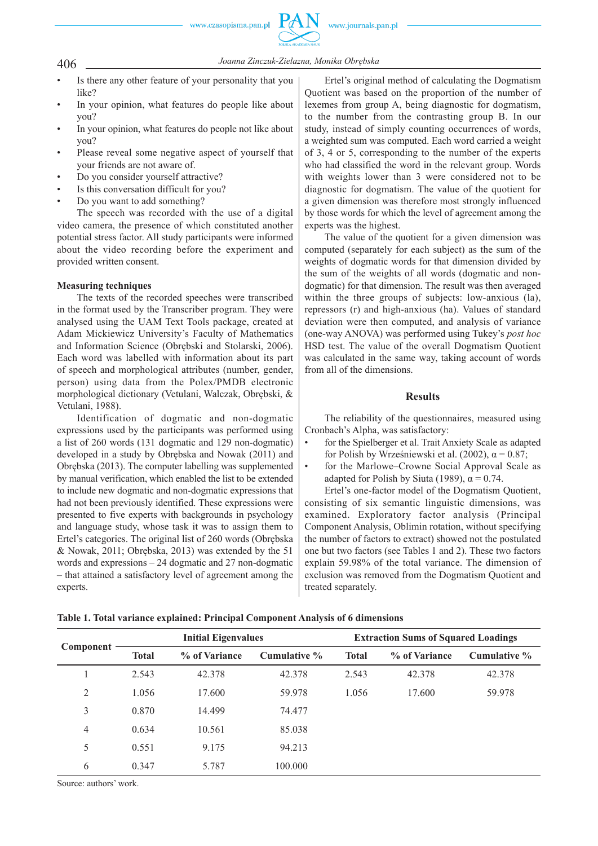# *Joanna Zinczuk-Zielazna, Monika Obrębska* 406

- Is there any other feature of your personality that you like?
- In your opinion, what features do people like about you?
- In your opinion, what features do people not like about you?
- Please reveal some negative aspect of yourself that your friends are not aware of.
- Do you consider yourself attractive?
- Is this conversation difficult for you?
- Do you want to add something?

The speech was recorded with the use of a digital video camera, the presence of which constituted another potential stress factor. All study participants were informed about the video recording before the experiment and provided written consent.

# **Measuring techniques**

The texts of the recorded speeches were transcribed in the format used by the Transcriber program. They were analysed using the UAM Text Tools package, created at Adam Mickiewicz University's Faculty of Mathematics and Information Science (Obrębski and Stolarski, 2006). Each word was labelled with information about its part of speech and morphological attributes (number, gender, person) using data from the Polex/PMDB electronic morphological dictionary (Vetulani, Walczak, Obrębski, & Vetulani, 1988).

Identification of dogmatic and non-dogmatic expressions used by the participants was performed using a list of 260 words (131 dogmatic and 129 non-dogmatic) developed in a study by Obrębska and Nowak (2011) and Obrębska (2013). The computer labelling was supplemented by manual verification, which enabled the list to be extended to include new dogmatic and non-dogmatic expressions that had not been previously identified. These expressions were presented to five experts with backgrounds in psychology and language study, whose task it was to assign them to Ertel's categories. The original list of 260 words (Obrębska & Nowak, 2011; Obrębska, 2013) was extended by the 51 words and expressions – 24 dogmatic and 27 non-dogmatic – that attained a satisfactory level of agreement among the experts.

Ertel's original method of calculating the Dogmatism Quotient was based on the proportion of the number of lexemes from group A, being diagnostic for dogmatism, to the number from the contrasting group B. In our study, instead of simply counting occurrences of words, a weighted sum was computed. Each word carried a weight of 3, 4 or 5, corresponding to the number of the experts who had classified the word in the relevant group. Words with weights lower than 3 were considered not to be diagnostic for dogmatism. The value of the quotient for a given dimension was therefore most strongly influenced by those words for which the level of agreement among the experts was the highest.

The value of the quotient for a given dimension was computed (separately for each subject) as the sum of the weights of dogmatic words for that dimension divided by the sum of the weights of all words (dogmatic and nondogmatic) for that dimension. The result was then averaged within the three groups of subjects: low-anxious (la), repressors (r) and high-anxious (ha). Values of standard deviation were then computed, and analysis of variance (one-way ANOVA) was performed using Tukey's *post hoc*  HSD test. The value of the overall Dogmatism Quotient was calculated in the same way, taking account of words from all of the dimensions.

# **Results**

The reliability of the questionnaires, measured using Cronbach's Alpha, was satisfactory:

- for the Spielberger et al. Trait Anxiety Scale as adapted for Polish by Wrześniewski et al. (2002),  $\alpha = 0.87$ ;
- for the Marlowe–Crowne Social Approval Scale as adapted for Polish by Siuta (1989),  $\alpha = 0.74$ .

Ertel's one-factor model of the Dogmatism Quotient, consisting of six semantic linguistic dimensions, was examined. Exploratory factor analysis (Principal Component Analysis, Oblimin rotation, without specifying the number of factors to extract) showed not the postulated one but two factors (see Tables 1 and 2). These two factors explain 59.98% of the total variance. The dimension of exclusion was removed from the Dogmatism Quotient and treated separately.

| Component |              | <b>Initial Eigenvalues</b> |              | <b>Extraction Sums of Squared Loadings</b> |               |              |  |  |
|-----------|--------------|----------------------------|--------------|--------------------------------------------|---------------|--------------|--|--|
|           | <b>Total</b> | % of Variance              | Cumulative % | <b>Total</b>                               | % of Variance | Cumulative % |  |  |
|           | 2.543        | 42.378                     | 42.378       | 2.543                                      | 42.378        | 42.378       |  |  |
| 2         | 1.056        | 17.600                     | 59.978       | 1.056                                      | 17.600        | 59.978       |  |  |
| 3         | 0.870        | 14.499                     | 74.477       |                                            |               |              |  |  |
| 4         | 0.634        | 10.561                     | 85.038       |                                            |               |              |  |  |
| 5         | 0.551        | 9.175                      | 94.213       |                                            |               |              |  |  |
| 6         | 0.347        | 5.787                      | 100.000      |                                            |               |              |  |  |
|           |              |                            |              |                                            |               |              |  |  |

Source: authors' work.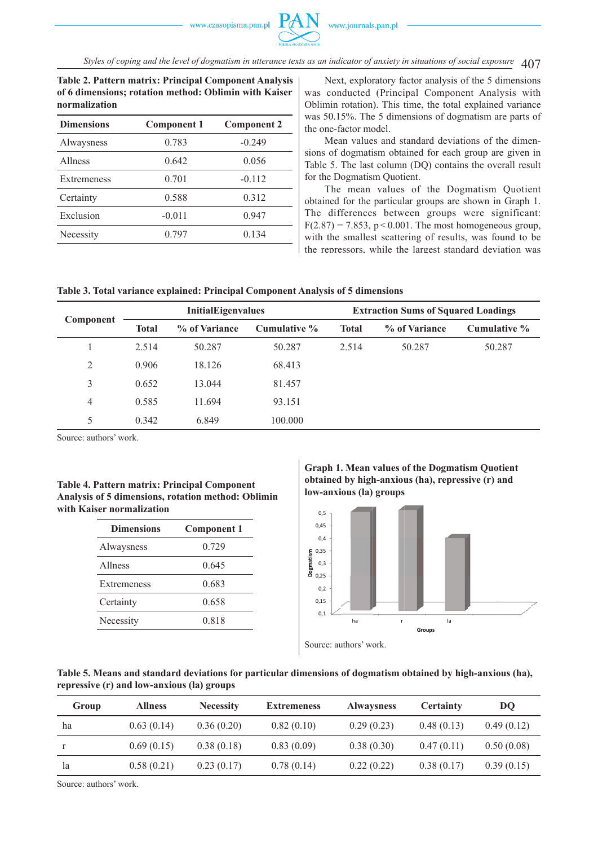

407 *Styles of coping and the level of dogmatism in utterance texts as an indicator of anxiety in situations of social exposure*

**Table 2. Pattern matrix: Principal Component Analysis of 6 dimensions; rotation method: Oblimin with Kaiser normalization**

| <b>Dimensions</b> | <b>Component 1</b> | <b>Component 2</b> |
|-------------------|--------------------|--------------------|
| Alwaysness        | 0.783              | $-0.249$           |
| <b>Allness</b>    | 0.642              | 0.056              |
| Extremeness       | 0.701              | $-0.112$           |
| Certainty         | 0.588              | 0.312              |
| Exclusion         | $-0.011$           | 0.947              |
| Necessity         | 0.797              | 0.134              |
|                   |                    |                    |

Next, exploratory factor analysis of the 5 dimensions was conducted (Principal Component Analysis with Oblimin rotation). This time, the total explained variance was 50.15%. The 5 dimensions of dogmatism are parts of the one-factor model.

Mean values and standard deviations of the dimensions of dogmatism obtained for each group are given in Table 5. The last column (DQ) contains the overall result for the Dogmatism Quotient.

The mean values of the Dogmatism Quotient obtained for the particular groups are shown in Graph 1. The differences between groups were significant:  $F(2.87) = 7.853$ ,  $p < 0.001$ . The most homogeneous group, with the smallest scattering of results, was found to be the repressors, while the largest standard deviation was

| Table 3. Total variance explained: Principal Component Analysis of 5 dimensions |  |  |  |
|---------------------------------------------------------------------------------|--|--|--|
|---------------------------------------------------------------------------------|--|--|--|

| Component |              | <b>InitialEigenvalues</b> |              | <b>Extraction Sums of Squared Loadings</b> |               |              |  |
|-----------|--------------|---------------------------|--------------|--------------------------------------------|---------------|--------------|--|
|           | <b>Total</b> | % of Variance             | Cumulative % | <b>Total</b>                               | % of Variance | Cumulative % |  |
|           | 2.514        | 50.287                    | 50.287       | 2.514                                      | 50.287        | 50.287       |  |
| 2         | 0.906        | 18.126                    | 68.413       |                                            |               |              |  |
| 3         | 0.652        | 13.044                    | 81.457       |                                            |               |              |  |
| 4         | 0.585        | 11.694                    | 93.151       |                                            |               |              |  |
| 5         | 0.342        | 6.849                     | 100.000      |                                            |               |              |  |

Source: authors' work.

**Table 4. Pattern matrix: Principal Component Analysis of 5 dimensions, rotation method: Oblimin with Kaiser normalization**

| <b>Dimensions</b> | <b>Component 1</b> |
|-------------------|--------------------|
| Alwaysness        | 0.729              |
| Allness           | 0.645              |
| Extremeness       | 0.683              |
| Certainty         | 0.658              |
| Necessity         | 0.818              |
|                   |                    |

**Graph 1. Mean values of the Dogmatism Quotient obtained by high-anxious (ha), repressive (r) and low-anxious (la) groups**



**Table 5. Means and standard deviations for particular dimensions of dogmatism obtained by high-anxious (ha), repressive (r) and low-anxious (la) groups**

| Group | <b>Allness</b> | <b>Necessity</b> | <b>Extremeness</b> | <b>Alwaysness</b> | <b>Certainty</b> | DO.        |
|-------|----------------|------------------|--------------------|-------------------|------------------|------------|
| ha    | 0.63(0.14)     | 0.36(0.20)       | 0.82(0.10)         | 0.29(0.23)        | 0.48(0.13)       | 0.49(0.12) |
|       | 0.69(0.15)     | 0.38(0.18)       | 0.83(0.09)         | 0.38(0.30)        | 0.47(0.11)       | 0.50(0.08) |
| 1a    | 0.58(0.21)     | 0.23(0.17)       | 0.78(0.14)         | 0.22(0.22)        | 0.38(0.17)       | 0.39(0.15) |
|       |                |                  |                    |                   |                  |            |

Source: authors' work.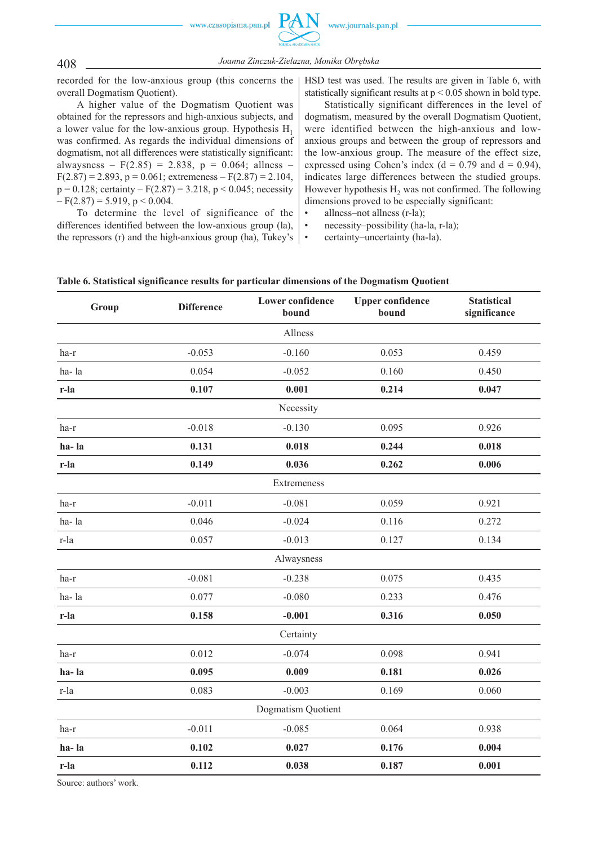

*Joanna Zinczuk-Zielazna, Monika Obrębska* 408

recorded for the low-anxious group (this concerns the overall Dogmatism Quotient).

A higher value of the Dogmatism Quotient was obtained for the repressors and high-anxious subjects, and a lower value for the low-anxious group. Hypothesis  $H_1$ was confirmed. As regards the individual dimensions of dogmatism, not all differences were statistically significant: alwaysness –  $F(2.85) = 2.838$ ,  $p = 0.064$ ; allness –  $F(2.87) = 2.893$ ,  $p = 0.061$ ; extremeness –  $F(2.87) = 2.104$ ,  $p = 0.128$ ; certainty –  $F(2.87) = 3.218$ ,  $p < 0.045$ ; necessity  $-F(2.87) = 5.919$ , p < 0.004.

To determine the level of significance of the differences identified between the low-anxious group (la), the repressors (r) and the high-anxious group (ha), Tukey's HSD test was used. The results are given in Table 6, with statistically significant results at p < 0.05 shown in bold type.

Statistically significant differences in the level of dogmatism, measured by the overall Dogmatism Quotient, were identified between the high-anxious and lowanxious groups and between the group of repressors and the low-anxious group. The measure of the effect size, expressed using Cohen's index ( $d = 0.79$  and  $d = 0.94$ ), indicates large differences between the studied groups. However hypothesis H<sub>2</sub> was not confirmed. The following dimensions proved to be especially significant:

- allness–not allness (r-la);
- necessity–possibility (ha-la, r-la);
- certainty–uncertainty (ha-la).

| Group | <b>Difference</b> | <b>Lower confidence</b><br>bound | <b>Upper confidence</b><br>bound | <b>Statistical</b><br>significance |  |
|-------|-------------------|----------------------------------|----------------------------------|------------------------------------|--|
|       |                   | Allness                          |                                  |                                    |  |
| ha-r  | $-0.053$          | $-0.160$                         | 0.053                            | 0.459                              |  |
| ha-la | 0.054             | $-0.052$                         | 0.160                            | 0.450                              |  |
| r-la  | 0.107             | 0.001                            | 0.214                            | 0.047                              |  |
|       |                   | Necessity                        |                                  |                                    |  |
| ha-r  | $-0.018$          | $-0.130$                         | 0.095                            | 0.926                              |  |
| ha-la | 0.131             | 0.018                            | 0.244                            | 0.018                              |  |
| r-la  | 0.149             | 0.036                            | 0.262                            | 0.006                              |  |
|       |                   | Extremeness                      |                                  |                                    |  |
| ha-r  | $-0.011$          | $-0.081$                         | 0.059                            | 0.921                              |  |
| ha-la | 0.046             | $-0.024$                         | 0.116                            | 0.272                              |  |
| r-la  | 0.057             | $-0.013$                         | 0.127                            | 0.134                              |  |
|       |                   | Alwaysness                       |                                  |                                    |  |
| ha-r  | $-0.081$          | $-0.238$                         | 0.075                            | 0.435                              |  |
| ha-la | 0.077             | $-0.080$                         | 0.233                            | 0.476                              |  |
| r-la  | 0.158             | $-0.001$                         | 0.316                            | 0.050                              |  |
|       |                   | Certainty                        |                                  |                                    |  |
| ha-r  | 0.012             | $-0.074$                         | 0.098                            | 0.941                              |  |
| ha-la | 0.095             | 0.009                            | 0.181                            | 0.026                              |  |
| r-la  | 0.083             | $-0.003$                         | 0.169                            | 0.060                              |  |
|       |                   | Dogmatism Quotient               |                                  |                                    |  |
| ha-r  | $-0.011$          | $-0.085$                         | 0.064                            | 0.938                              |  |
| ha-la | 0.102             | 0.027                            | 0.176                            | 0.004                              |  |
| r-la  | 0.112             | 0.038                            | 0.187                            | 0.001                              |  |

**Table 6. Statistical significance results for particular dimensions of the Dogmatism Quotient**

Source: authors' work.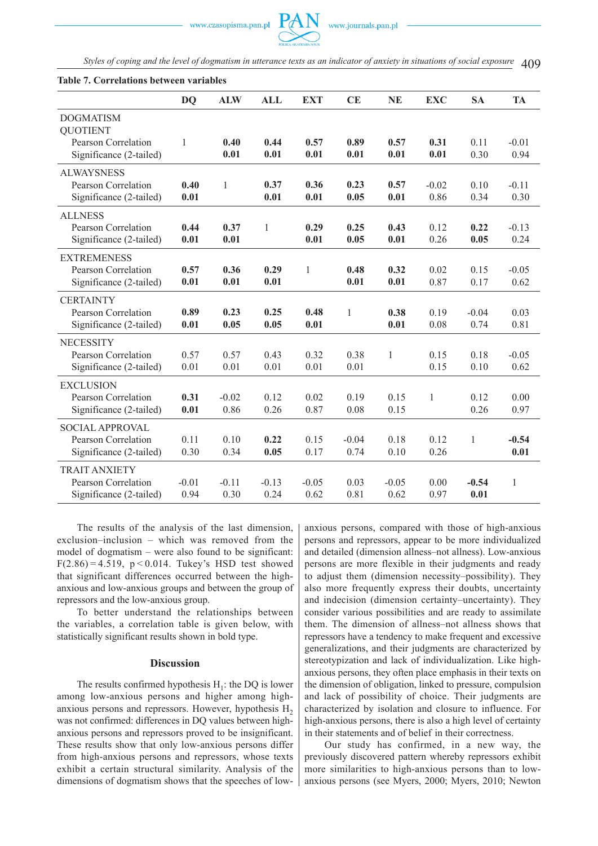

Styles of coping and the level of dogmatism in utterance texts as an indicator of anxiety in situations of social exposure  $\triangleleft$ 

|                                                                          | <b>DQ</b>       | <b>ALW</b>      | <b>ALL</b>      | <b>EXT</b>      | CE              | <b>NE</b>       | <b>EXC</b>   | <b>SA</b>       | <b>TA</b>       |
|--------------------------------------------------------------------------|-----------------|-----------------|-----------------|-----------------|-----------------|-----------------|--------------|-----------------|-----------------|
| <b>DOGMATISM</b><br><b>QUOTIENT</b>                                      |                 |                 |                 |                 |                 |                 |              |                 |                 |
| Pearson Correlation<br>Significance (2-tailed)                           | 1               | 0.40<br>0.01    | 0.44<br>0.01    | 0.57<br>0.01    | 0.89<br>0.01    | 0.57<br>0.01    | 0.31<br>0.01 | 0.11<br>0.30    | $-0.01$<br>0.94 |
| <b>ALWAYSNESS</b><br>Pearson Correlation                                 | 0.40            | 1               | 0.37            | 0.36            | 0.23            | 0.57            | $-0.02$      | 0.10            | $-0.11$         |
| Significance (2-tailed)                                                  | 0.01            |                 | 0.01            | 0.01            | 0.05            | 0.01            | 0.86         | 0.34            | 0.30            |
| <b>ALLNESS</b><br>Pearson Correlation<br>Significance (2-tailed)         | 0.44<br>0.01    | 0.37<br>0.01    | 1               | 0.29<br>0.01    | 0.25<br>0.05    | 0.43<br>0.01    | 0.12<br>0.26 | 0.22<br>0.05    | $-0.13$<br>0.24 |
| <b>EXTREMENESS</b><br>Pearson Correlation<br>Significance (2-tailed)     | 0.57<br>0.01    | 0.36<br>0.01    | 0.29<br>0.01    | 1               | 0.48<br>0.01    | 0.32<br>0.01    | 0.02<br>0.87 | 0.15<br>0.17    | $-0.05$<br>0.62 |
| <b>CERTAINTY</b><br>Pearson Correlation<br>Significance (2-tailed)       | 0.89<br>0.01    | 0.23<br>0.05    | 0.25<br>0.05    | 0.48<br>0.01    | 1               | 0.38<br>0.01    | 0.19<br>0.08 | $-0.04$<br>0.74 | 0.03<br>0.81    |
| <b>NECESSITY</b><br>Pearson Correlation<br>Significance (2-tailed)       | 0.57<br>0.01    | 0.57<br>0.01    | 0.43<br>0.01    | 0.32<br>0.01    | 0.38<br>0.01    | $\mathbf{1}$    | 0.15<br>0.15 | 0.18<br>0.10    | $-0.05$<br>0.62 |
| <b>EXCLUSION</b><br>Pearson Correlation<br>Significance (2-tailed)       | 0.31<br>0.01    | $-0.02$<br>0.86 | 0.12<br>0.26    | 0.02<br>0.87    | 0.19<br>0.08    | 0.15<br>0.15    | $\mathbf{1}$ | 0.12<br>0.26    | 0.00<br>0.97    |
| <b>SOCIAL APPROVAL</b><br>Pearson Correlation<br>Significance (2-tailed) | 0.11<br>0.30    | 0.10<br>0.34    | 0.22<br>0.05    | 0.15<br>0.17    | $-0.04$<br>0.74 | 0.18<br>0.10    | 0.12<br>0.26 | 1               | $-0.54$<br>0.01 |
| <b>TRAIT ANXIETY</b><br>Pearson Correlation<br>Significance (2-tailed)   | $-0.01$<br>0.94 | $-0.11$<br>0.30 | $-0.13$<br>0.24 | $-0.05$<br>0.62 | 0.03<br>0.81    | $-0.05$<br>0.62 | 0.00<br>0.97 | $-0.54$<br>0.01 | $\mathbf{1}$    |

#### **Table 7. Correlations between variables**

The results of the analysis of the last dimension, exclusion–inclusion – which was removed from the model of dogmatism – were also found to be significant:  $F(2.86) = 4.519$ ,  $p < 0.014$ . Tukey's HSD test showed that significant differences occurred between the highanxious and low-anxious groups and between the group of repressors and the low-anxious group.

To better understand the relationships between the variables, a correlation table is given below, with statistically significant results shown in bold type.

#### **Discussion**

The results confirmed hypothesis  $H_1$ : the DQ is lower among low-anxious persons and higher among highanxious persons and repressors. However, hypothesis  $H<sub>2</sub>$ was not confirmed: differences in DQ values between highanxious persons and repressors proved to be insignificant. These results show that only low-anxious persons differ from high-anxious persons and repressors, whose texts exhibit a certain structural similarity. Analysis of the dimensions of dogmatism shows that the speeches of lowanxious persons, compared with those of high-anxious persons and repressors, appear to be more individualized and detailed (dimension allness–not allness). Low-anxious persons are more flexible in their judgments and ready to adjust them (dimension necessity–possibility). They also more frequently express their doubts, uncertainty and indecision (dimension certainty–uncertainty). They consider various possibilities and are ready to assimilate them. The dimension of allness–not allness shows that repressors have a tendency to make frequent and excessive generalizations, and their judgments are characterized by stereotypization and lack of individualization. Like highanxious persons, they often place emphasis in their texts on the dimension of obligation, linked to pressure, compulsion and lack of possibility of choice. Their judgments are characterized by isolation and closure to influence. For high-anxious persons, there is also a high level of certainty in their statements and of belief in their correctness.

Our study has confirmed, in a new way, the previously discovered pattern whereby repressors exhibit more similarities to high-anxious persons than to lowanxious persons (see Myers, 2000; Myers, 2010; Newton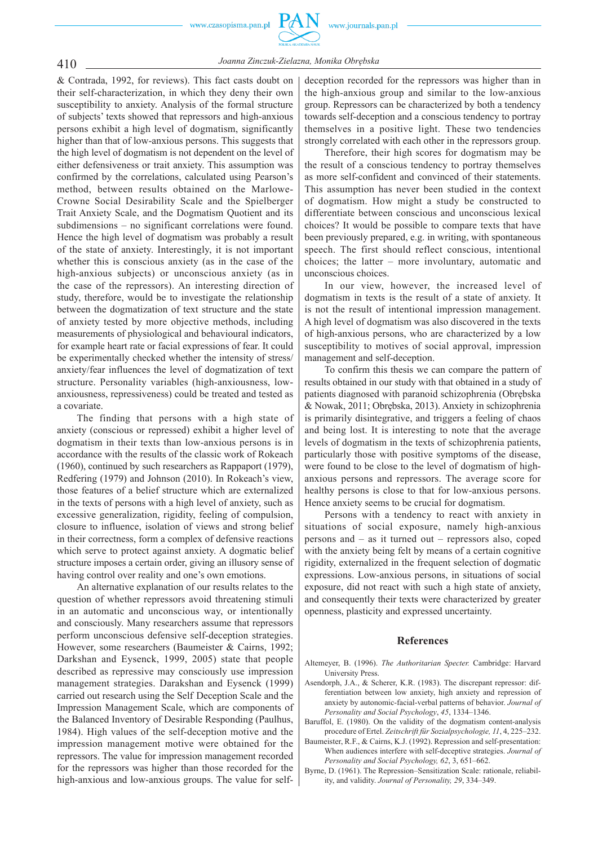

# *Joanna Zinczuk-Zielazna, Monika Obrębska* 410

& Contrada, 1992, for reviews). This fact casts doubt on their self-characterization, in which they deny their own susceptibility to anxiety. Analysis of the formal structure of subjects' texts showed that repressors and high-anxious persons exhibit a high level of dogmatism, significantly higher than that of low-anxious persons. This suggests that the high level of dogmatism is not dependent on the level of either defensiveness or trait anxiety. This assumption was confirmed by the correlations, calculated using Pearson's method, between results obtained on the Marlowe-Crowne Social Desirability Scale and the Spielberger Trait Anxiety Scale, and the Dogmatism Quotient and its subdimensions – no significant correlations were found. Hence the high level of dogmatism was probably a result of the state of anxiety. Interestingly, it is not important whether this is conscious anxiety (as in the case of the high-anxious subjects) or unconscious anxiety (as in the case of the repressors). An interesting direction of study, therefore, would be to investigate the relationship between the dogmatization of text structure and the state of anxiety tested by more objective methods, including measurements of physiological and behavioural indicators, for example heart rate or facial expressions of fear. It could be experimentally checked whether the intensity of stress/ anxiety/fear influences the level of dogmatization of text structure. Personality variables (high-anxiousness, lowanxiousness, repressiveness) could be treated and tested as a covariate.

The finding that persons with a high state of anxiety (conscious or repressed) exhibit a higher level of dogmatism in their texts than low-anxious persons is in accordance with the results of the classic work of Rokeach (1960), continued by such researchers as Rappaport (1979), Redfering (1979) and Johnson (2010). In Rokeach's view, those features of a belief structure which are externalized in the texts of persons with a high level of anxiety, such as excessive generalization, rigidity, feeling of compulsion, closure to influence, isolation of views and strong belief in their correctness, form a complex of defensive reactions which serve to protect against anxiety. A dogmatic belief structure imposes a certain order, giving an illusory sense of having control over reality and one's own emotions.

An alternative explanation of our results relates to the question of whether repressors avoid threatening stimuli in an automatic and unconscious way, or intentionally and consciously. Many researchers assume that repressors perform unconscious defensive self-deception strategies. However, some researchers (Baumeister & Cairns, 1992; Darkshan and Eysenck, 1999, 2005) state that people described as repressive may consciously use impression management strategies. Darakshan and Eysenck (1999) carried out research using the Self Deception Scale and the Impression Management Scale, which are components of the Balanced Inventory of Desirable Responding (Paulhus, 1984). High values of the self-deception motive and the impression management motive were obtained for the repressors. The value for impression management recorded for the repressors was higher than those recorded for the high-anxious and low-anxious groups. The value for self-

deception recorded for the repressors was higher than in the high-anxious group and similar to the low-anxious group. Repressors can be characterized by both a tendency towards self-deception and a conscious tendency to portray themselves in a positive light. These two tendencies strongly correlated with each other in the repressors group.

Therefore, their high scores for dogmatism may be the result of a conscious tendency to portray themselves as more self-confident and convinced of their statements. This assumption has never been studied in the context of dogmatism. How might a study be constructed to differentiate between conscious and unconscious lexical choices? It would be possible to compare texts that have been previously prepared, e.g. in writing, with spontaneous speech. The first should reflect conscious, intentional choices; the latter – more involuntary, automatic and unconscious choices.

In our view, however, the increased level of dogmatism in texts is the result of a state of anxiety. It is not the result of intentional impression management. A high level of dogmatism was also discovered in the texts of high-anxious persons, who are characterized by a low susceptibility to motives of social approval, impression management and self-deception.

To confirm this thesis we can compare the pattern of results obtained in our study with that obtained in a study of patients diagnosed with paranoid schizophrenia (Obrębska & Nowak, 2011; Obrębska, 2013). Anxiety in schizophrenia is primarily disintegrative, and triggers a feeling of chaos and being lost. It is interesting to note that the average levels of dogmatism in the texts of schizophrenia patients, particularly those with positive symptoms of the disease, were found to be close to the level of dogmatism of highanxious persons and repressors. The average score for healthy persons is close to that for low-anxious persons. Hence anxiety seems to be crucial for dogmatism.

Persons with a tendency to react with anxiety in situations of social exposure, namely high-anxious persons and – as it turned out – repressors also, coped with the anxiety being felt by means of a certain cognitive rigidity, externalized in the frequent selection of dogmatic expressions. Low-anxious persons, in situations of social exposure, did not react with such a high state of anxiety, and consequently their texts were characterized by greater openness, plasticity and expressed uncertainty.

### **References**

- Altemeyer, B. (1996). *The Authoritarian Specter.* Cambridge: Harvard University Press.
- Asendorph, J.A., & Scherer, K.R. (1983). The discrepant repressor: differentiation between low anxiety, high anxiety and repression of anxiety by autonomic-facial-verbal patterns of behavior. *Journal of Personality and Social Psychology*, *45*, 1334–1346.
- Baruffol, E. (1980). On the validity of the dogmatism content-analysis procedure of Ertel. *Zeitschrift für Sozialpsychologie, 11*, 4, 225–232.
- Baumeister, R.F., & Cairns, K.J. (1992). Repression and self-presentation: When audiences interfere with self-deceptive strategies. *Journal of Personality and Social Psychology, 62*, 3, 651–662.
- Byrne, D. (1961). The Repression–Sensitization Scale: rationale, reliability, and validity. *Journal of Personality, 29*, 334–349.